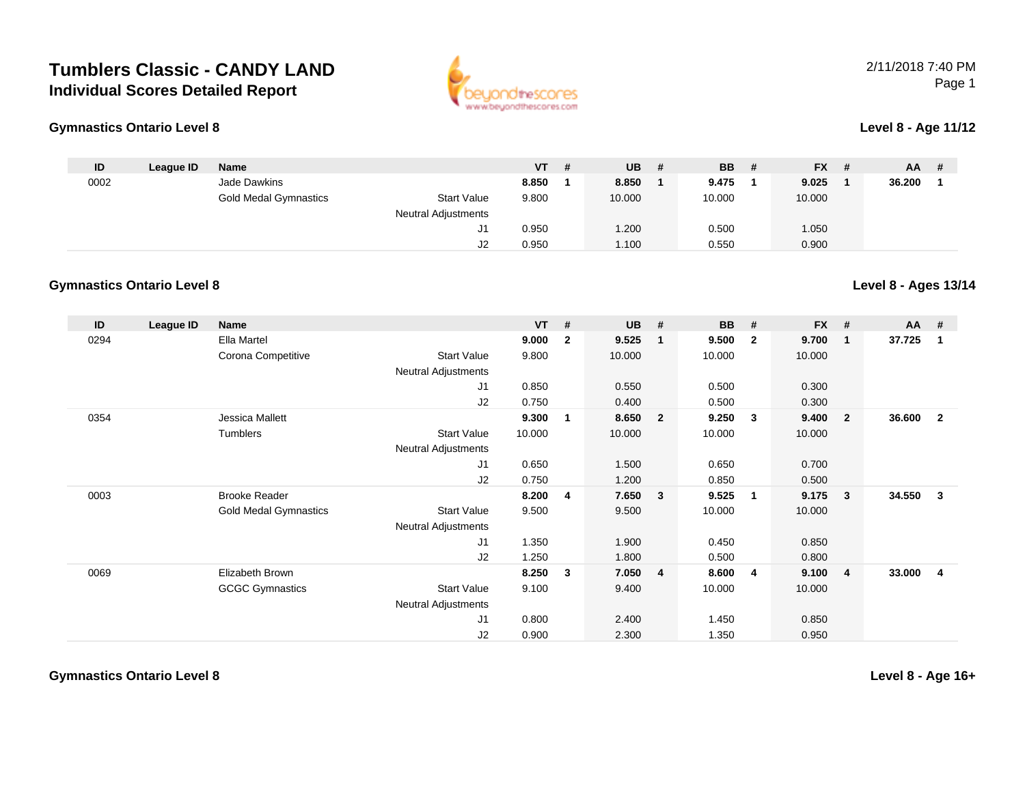## **Tumblers Classic - CANDY LANDIndividual Scores Detailed Report**





## **Level 8 - Age 11/12**

**Level 8 - Ages 13/14**

| ID   | League ID | <b>Name</b>                  |                            | $VT$ # | $UB$ # | <b>BB</b> | - # | <b>FX</b> | # | <b>AA</b> | # |
|------|-----------|------------------------------|----------------------------|--------|--------|-----------|-----|-----------|---|-----------|---|
| 0002 |           | Jade Dawkins                 |                            | 8.850  | 8.850  | 9.475     |     | 9.025     |   | 36.200    |   |
|      |           | <b>Gold Medal Gymnastics</b> | <b>Start Value</b>         | 9.800  | 10.000 | 10.000    |     | 10.000    |   |           |   |
|      |           |                              | <b>Neutral Adjustments</b> |        |        |           |     |           |   |           |   |
|      |           |                              | ັປ                         | 0.950  | 1.200  | 0.500     |     | 1.050     |   |           |   |
|      |           |                              | J2                         | 0.950  | 1.100  | 0.550     |     | 0.900     |   |           |   |

## **Gymnastics Ontario Level 8**

| ID   | League ID | Name                         |                            | <b>VT</b> | #            | <b>UB</b> | #                       | <b>BB</b> | #                       | <b>FX</b> | #              | $AA$ # |                |
|------|-----------|------------------------------|----------------------------|-----------|--------------|-----------|-------------------------|-----------|-------------------------|-----------|----------------|--------|----------------|
| 0294 |           | Ella Martel                  |                            | 9.000     | $\mathbf{2}$ | 9.525     | -1                      | 9.500     | $\overline{2}$          | 9.700     | 1              | 37.725 | 1              |
|      |           | Corona Competitive           | <b>Start Value</b>         | 9.800     |              | 10.000    |                         | 10.000    |                         | 10.000    |                |        |                |
|      |           |                              | <b>Neutral Adjustments</b> |           |              |           |                         |           |                         |           |                |        |                |
|      |           |                              | J1                         | 0.850     |              | 0.550     |                         | 0.500     |                         | 0.300     |                |        |                |
|      |           |                              | J <sub>2</sub>             | 0.750     |              | 0.400     |                         | 0.500     |                         | 0.300     |                |        |                |
| 0354 |           | Jessica Mallett              |                            | 9.300     | $\mathbf{1}$ | 8.650     | $\overline{\mathbf{2}}$ | 9.250     | $\mathbf{3}$            | 9.400     | $\overline{2}$ | 36.600 | $\overline{2}$ |
|      |           | Tumblers                     | <b>Start Value</b>         | 10.000    |              | 10.000    |                         | 10.000    |                         | 10.000    |                |        |                |
|      |           |                              | <b>Neutral Adjustments</b> |           |              |           |                         |           |                         |           |                |        |                |
|      |           |                              | J <sub>1</sub>             | 0.650     |              | 1.500     |                         | 0.650     |                         | 0.700     |                |        |                |
|      |           |                              | J2                         | 0.750     |              | 1.200     |                         | 0.850     |                         | 0.500     |                |        |                |
| 0003 |           | <b>Brooke Reader</b>         |                            | 8.200     | 4            | 7.650     | $\overline{\mathbf{3}}$ | 9.525     | $\overline{\mathbf{1}}$ | 9.175     | 3              | 34.550 | 3              |
|      |           | <b>Gold Medal Gymnastics</b> | <b>Start Value</b>         | 9.500     |              | 9.500     |                         | 10.000    |                         | 10.000    |                |        |                |
|      |           |                              | <b>Neutral Adjustments</b> |           |              |           |                         |           |                         |           |                |        |                |
|      |           |                              | J1                         | 1.350     |              | 1.900     |                         | 0.450     |                         | 0.850     |                |        |                |
|      |           |                              | J <sub>2</sub>             | 1.250     |              | 1.800     |                         | 0.500     |                         | 0.800     |                |        |                |
| 0069 |           | Elizabeth Brown              |                            | 8.250     | 3            | 7.050     | $\overline{4}$          | 8.600     | $\overline{4}$          | 9.100     | $\overline{4}$ | 33.000 | 4              |
|      |           | <b>GCGC Gymnastics</b>       | <b>Start Value</b>         | 9.100     |              | 9.400     |                         | 10.000    |                         | 10.000    |                |        |                |
|      |           |                              | Neutral Adjustments        |           |              |           |                         |           |                         |           |                |        |                |
|      |           |                              | J <sub>1</sub>             | 0.800     |              | 2.400     |                         | 1.450     |                         | 0.850     |                |        |                |
|      |           |                              | J <sub>2</sub>             | 0.900     |              | 2.300     |                         | 1.350     |                         | 0.950     |                |        |                |

**Gymnastics Ontario Level 8**

**Level 8 - Age 16+**